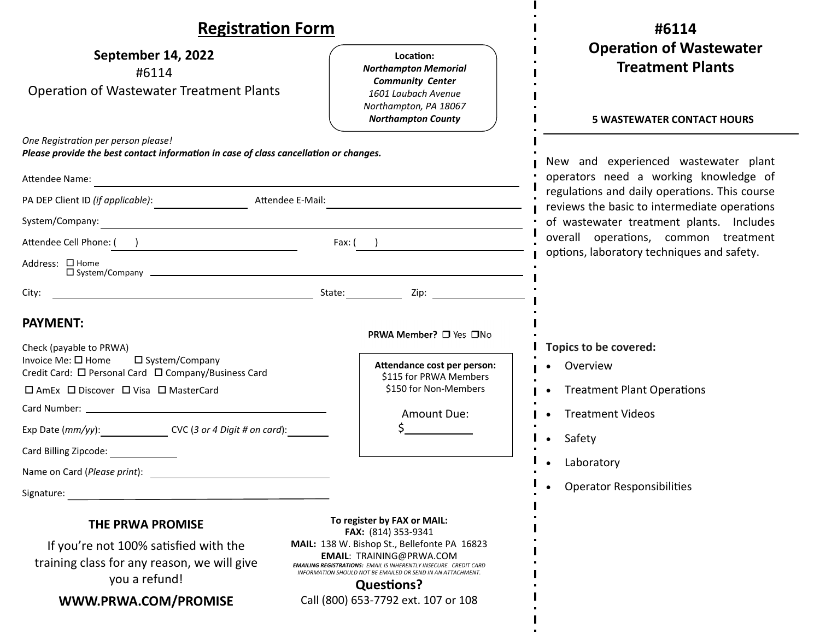| <b>Registration Form</b>                                                                                                                                                                                                                                                                                                                                                                                                                                          |                                                                                                                                                                                                                                                                                                                                              | #6114                                                                                                                                                                                                                                                                                                            |
|-------------------------------------------------------------------------------------------------------------------------------------------------------------------------------------------------------------------------------------------------------------------------------------------------------------------------------------------------------------------------------------------------------------------------------------------------------------------|----------------------------------------------------------------------------------------------------------------------------------------------------------------------------------------------------------------------------------------------------------------------------------------------------------------------------------------------|------------------------------------------------------------------------------------------------------------------------------------------------------------------------------------------------------------------------------------------------------------------------------------------------------------------|
| September 14, 2022<br>#6114<br><b>Operation of Wastewater Treatment Plants</b>                                                                                                                                                                                                                                                                                                                                                                                    | Location:<br><b>Northampton Memorial</b><br><b>Community Center</b><br>1601 Laubach Avenue<br>Northampton, PA 18067<br><b>Northampton County</b>                                                                                                                                                                                             | <b>Operation of Wastewater</b><br><b>Treatment Plants</b><br><b>5 WASTEWATER CONTACT HOURS</b>                                                                                                                                                                                                                   |
| One Registration per person please!<br>Please provide the best contact information in case of class cancellation or changes.<br>Attendee Name:<br><u> 1989 - Johann Harry Barn, mars ar breist fan de Amerikaansk kommunent fan de Amerikaanske kommunent fan de A</u><br>System/Company:<br><u> 1989 - Johann Stoff, deutscher Stoff, der Stoff, der Stoff, der Stoff, der Stoff, der Stoff, der Stoff, der S</u><br>Attendee Cell Phone: ( )<br>Address: □ Home |                                                                                                                                                                                                                                                                                                                                              | New and experienced wastewater plant<br>operators need a working knowledge of<br>regulations and daily operations. This course<br>reviews the basic to intermediate operations<br>of wastewater treatment plants. Includes<br>overall operations, common treatment<br>options, laboratory techniques and safety. |
| $\square$ System/Company $\square$<br>City:<br><b>PAYMENT:</b><br>Check (payable to PRWA)<br>Invoice Me: □ Home<br>□ System/Company<br>Credit Card: □ Personal Card □ Company/Business Card<br>□ AmEx □ Discover □ Visa □ MasterCard<br>Exp Date $(mm/yy)$ : $CVC$ (3 or 4 Digit # on card):                                                                                                                                                                      | PRWA Member? □ Yes □No<br>Attendance cost per person:<br>\$115 for PRWA Members<br>\$150 for Non-Members<br>Amount Due:<br>$\zeta$ and $\zeta$                                                                                                                                                                                               | Topics to be covered:<br>Overview<br><b>Treatment Plant Operations</b><br><b>Treatment Videos</b><br>Safety<br>$\bullet$                                                                                                                                                                                         |
| Card Billing Zipcode:<br>Name on Card (Please print):<br>Signature:<br>THE PRWA PROMISE<br>If you're not 100% satisfied with the<br>training class for any reason, we will give<br>you a refund!<br>WWW.PRWA.COM/PROMISE                                                                                                                                                                                                                                          | To register by FAX or MAIL:<br>FAX: (814) 353-9341<br>MAIL: 138 W. Bishop St., Bellefonte PA 16823<br><b>EMAIL: TRAINING@PRWA.COM</b><br><b>EMAILING REGISTRATIONS: EMAIL IS INHERENTLY INSECURE. CREDIT CARD</b><br>INFORMATION SHOULD NOT BE EMAILED OR SEND IN AN ATTACHMENT.<br><b>Questions?</b><br>Call (800) 653-7792 ext. 107 or 108 | Laboratory<br><b>Operator Responsibilities</b>                                                                                                                                                                                                                                                                   |